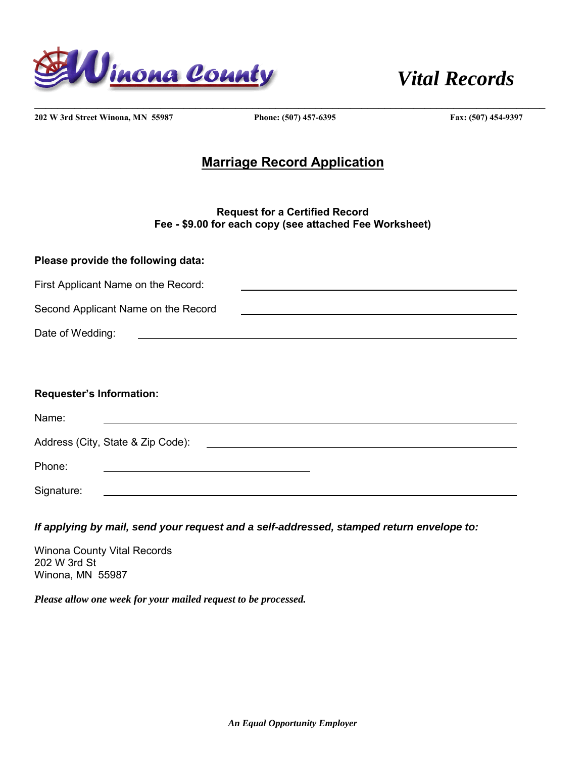

*Vital Records*

**202 W 3rd Street Winona, MN 55987 Phone: (507) 457-6395 Fax: (507) 454-9397** 

**\_\_\_\_\_\_\_\_\_\_\_\_\_\_\_\_\_\_\_\_\_\_\_\_\_\_\_\_\_\_\_\_\_\_\_\_\_\_\_\_\_\_\_\_\_\_\_\_\_\_\_\_\_\_\_\_\_\_\_\_\_\_\_\_\_\_\_\_\_\_\_\_\_\_\_\_\_\_\_\_\_\_\_\_\_\_\_\_\_**

## **Marriage Record Application**

## **Request for a Certified Record Fee - \$9.00 for each copy (see attached Fee Worksheet)**

| Please provide the following data:                                                                                                       |  |  |  |
|------------------------------------------------------------------------------------------------------------------------------------------|--|--|--|
| First Applicant Name on the Record:                                                                                                      |  |  |  |
| Second Applicant Name on the Record                                                                                                      |  |  |  |
| Date of Wedding:<br><u> 1989 - Johann John Stein, markin fan it ferstjer fan de ferstjer fan it ferstjer fan de ferstjer fan de fers</u> |  |  |  |
|                                                                                                                                          |  |  |  |
|                                                                                                                                          |  |  |  |
|                                                                                                                                          |  |  |  |
| <b>Requester's Information:</b>                                                                                                          |  |  |  |
| Name:                                                                                                                                    |  |  |  |
| Address (City, State & Zip Code):                                                                                                        |  |  |  |
| Phone:                                                                                                                                   |  |  |  |

*If applying by mail, send your request and a self-addressed, stamped return envelope to:* 

Winona County Vital Records 202 W 3rd St Winona, MN 55987

*Please allow one week for your mailed request to be processed.*